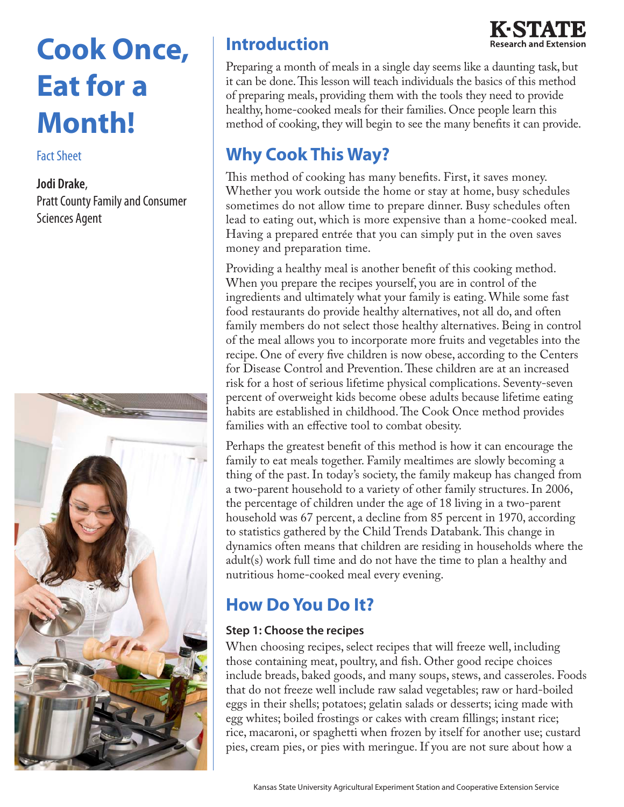# **Cook Once, Eat for a Month!**

#### Fact Sheet

#### **Jodi Drake**,

Pratt County Family and Consumer Sciences Agent



# **Introduction**



Preparing a month of meals in a single day seems like a daunting task, but it can be done. This lesson will teach individuals the basics of this method of preparing meals, providing them with the tools they need to provide healthy, home-cooked meals for their families. Once people learn this method of cooking, they will begin to see the many benefits it can provide.

# **Why Cook This Way?**

This method of cooking has many benefits. First, it saves money. Whether you work outside the home or stay at home, busy schedules sometimes do not allow time to prepare dinner. Busy schedules often lead to eating out, which is more expensive than a home-cooked meal. Having a prepared entrée that you can simply put in the oven saves money and preparation time.

Providing a healthy meal is another benefit of this cooking method. When you prepare the recipes yourself, you are in control of the ingredients and ultimately what your family is eating. While some fast food restaurants do provide healthy alternatives, not all do, and often family members do not select those healthy alternatives. Being in control of the meal allows you to incorporate more fruits and vegetables into the recipe. One of every five children is now obese, according to the Centers for Disease Control and Prevention. These children are at an increased risk for a host of serious lifetime physical complications. Seventy-seven percent of overweight kids become obese adults because lifetime eating habits are established in childhood. The Cook Once method provides families with an effective tool to combat obesity.

Perhaps the greatest benefit of this method is how it can encourage the family to eat meals together. Family mealtimes are slowly becoming a thing of the past. In today's society, the family makeup has changed from a two-parent household to a variety of other family structures. In 2006, the percentage of children under the age of 18 living in a two-parent household was 67 percent, a decline from 85 percent in 1970, according to statistics gathered by the Child Trends Databank. This change in dynamics often means that children are residing in households where the adult(s) work full time and do not have the time to plan a healthy and nutritious home-cooked meal every evening.

# **How Do You Do It?**

#### **Step 1: Choose the recipes**

When choosing recipes, select recipes that will freeze well, including those containing meat, poultry, and fish. Other good recipe choices include breads, baked goods, and many soups, stews, and casseroles. Foods that do not freeze well include raw salad vegetables; raw or hard-boiled eggs in their shells; potatoes; gelatin salads or desserts; icing made with egg whites; boiled frostings or cakes with cream fillings; instant rice; rice, macaroni, or spaghetti when frozen by itself for another use; custard pies, cream pies, or pies with meringue. If you are not sure about how a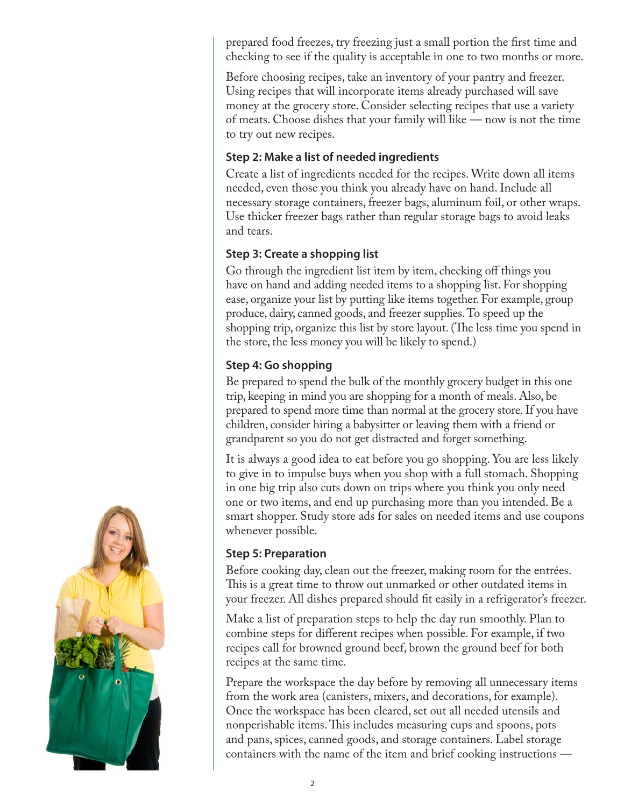prepared food freezes, try freezing just a small portion the first time and checking to see if the quality is acceptable in one to two months or more.

Before choosing recipes, take an inventory of your pantry and freezer. Using recipes that will incorporate items already purchased will save money at the grocery store. Consider selecting recipes that use a variety of meats. Choose dishes that your family will like — now is not the time to try out new recipes.

#### **Step 2: Make a list of needed ingredients**

Create a list of ingredients needed for the recipes. Write down all items needed, even those you think you already have on hand. Include all necessary storage containers, freezer bags, aluminum foil, or other wraps. Use thicker freezer bags rather than regular storage bags to avoid leaks and tears.

#### **Step 3: Create a shopping list**

Go through the ingredient list item by item, checking off things you have on hand and adding needed items to a shopping list. For shopping ease, organize your list by putting like items together. For example, group produce, dairy, canned goods, and freezer supplies. To speed up the shopping trip, organize this list by store layout. (The less time you spend in the store, the less money you will be likely to spend.)

#### **Step 4: Go shopping**

Be prepared to spend the bulk of the monthly grocery budget in this one trip, keeping in mind you are shopping for a month of meals. Also, be prepared to spend more time than normal at the grocery store. If you have children, consider hiring a babysitter or leaving them with a friend or grandparent so you do not get distracted and forget something.

It is always a good idea to eat before you go shopping. You are less likely to give in to impulse buys when you shop with a full stomach. Shopping in one big trip also cuts down on trips where you think you only need one or two items, and end up purchasing more than you intended. Be a smart shopper. Study store ads for sales on needed items and use coupons whenever possible.

#### **Step 5: Preparation**

Before cooking day, clean out the freezer, making room for the entrées. This is a great time to throw out unmarked or other outdated items in your freezer. All dishes prepared should fit easily in a refrigerator's freezer.

Make a list of preparation steps to help the day run smoothly. Plan to combine steps for different recipes when possible. For example, if two recipes call for browned ground beef, brown the ground beef for both recipes at the same time.

Prepare the workspace the day before by removing all unnecessary items from the work area (canisters, mixers, and decorations, for example). Once the workspace has been cleared, set out all needed utensils and nonperishable items. This includes measuring cups and spoons, pots and pans, spices, canned goods, and storage containers. Label storage containers with the name of the item and brief cooking instructions —

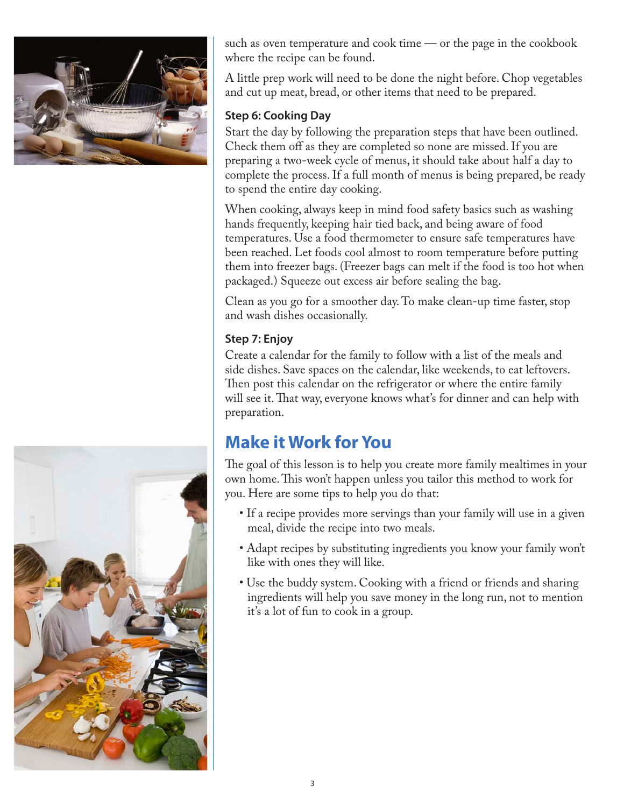



such as oven temperature and cook time — or the page in the cookbook where the recipe can be found.

A little prep work will need to be done the night before. Chop vegetables and cut up meat, bread, or other items that need to be prepared.

#### **Step 6: Cooking Day**

Start the day by following the preparation steps that have been outlined. Check them off as they are completed so none are missed. If you are preparing a two-week cycle of menus, it should take about half a day to complete the process. If a full month of menus is being prepared, be ready to spend the entire day cooking.

When cooking, always keep in mind food safety basics such as washing hands frequently, keeping hair tied back, and being aware of food temperatures. Use a food thermometer to ensure safe temperatures have been reached. Let foods cool almost to room temperature before putting them into freezer bags. (Freezer bags can melt if the food is too hot when packaged.) Squeeze out excess air before sealing the bag.

Clean as you go for a smoother day. To make clean-up time faster, stop and wash dishes occasionally.

## **Step 7: Enjoy**

Create a calendar for the family to follow with a list of the meals and side dishes. Save spaces on the calendar, like weekends, to eat leftovers. Then post this calendar on the refrigerator or where the entire family will see it. That way, everyone knows what's for dinner and can help with preparation.

# **Make it Work for You**

The goal of this lesson is to help you create more family mealtimes in your own home. This won't happen unless you tailor this method to work for you. Here are some tips to help you do that:

- If a recipe provides more servings than your family will use in a given meal, divide the recipe into two meals.
- Adapt recipes by substituting ingredients you know your family won't like with ones they will like.
- Use the buddy system. Cooking with a friend or friends and sharing ingredients will help you save money in the long run, not to mention it's a lot of fun to cook in a group.